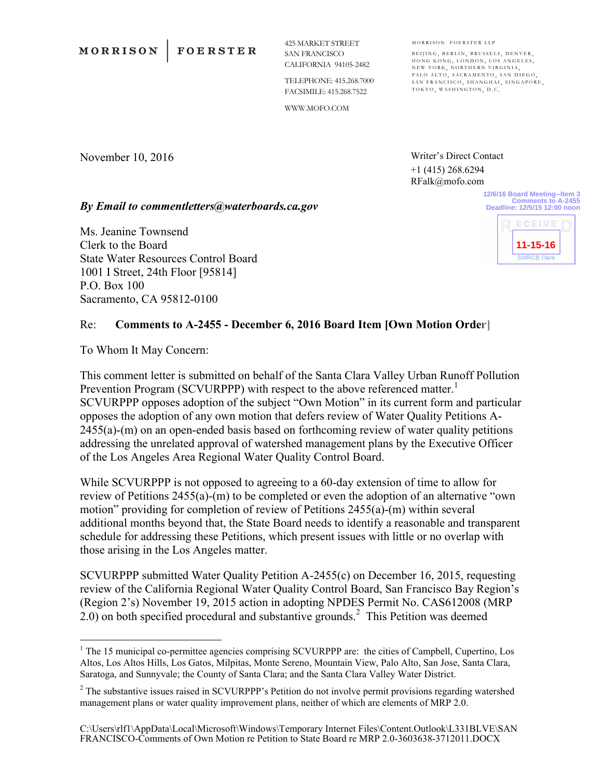November 10, 2016

425 MARKET STREET SAN FRANCISCO CALIFORNIA 94105-2482

TELEPHONE: 415.268.7000 FACSIMILE: 415.268.7522

WWW.MOFO.COM

MORRISON FOERSTER LLP BEIJING, BERLIN, BRUSSELS, DENVER, HONG KONG, LONDON, LOS ANGELES, NEW YORK, NORTHERN VIRGINIA, PALO ALTO, SACRAMENTO, SAN DIEGO, SAN FRANCISCO, SHANGHAI, SINGAPORE,

Writer's Direct Contact +1 (415) 268.6294 RFalk@mofo.com

TOKYO, WASHINGTON, D.C.

*By Email to commentletters@waterboards.ca.gov*

Ms. Jeanine Townsend Clerk to the Board State Water Resources Control Board 1001 I Street, 24th Floor [95814] P.O. Box 100 Sacramento, CA 95812-0100

## **Comments to A-2455 Deadline: 12/5/15 12:00 noon** ECEIVE **11-15-16SWRCB Clerk**

**12/6/16 Board Meeting--Item 3**

## Re: **Comments to A-2455 - December 6, 2016 Board Item [Own Motion Order]**

To Whom It May Concern:

1

This comment letter is submitted on behalf of the Santa Clara Valley Urban Runoff Pollution Prevention Program (SCVURPPP) with respect to the above referenced matter.<sup>1</sup> SCVURPPP opposes adoption of the subject "Own Motion" in its current form and particular opposes the adoption of any own motion that defers review of Water Quality Petitions A-2455(a)-(m) on an open-ended basis based on forthcoming review of water quality petitions addressing the unrelated approval of watershed management plans by the Executive Officer of the Los Angeles Area Regional Water Quality Control Board.

While SCVURPPP is not opposed to agreeing to a 60-day extension of time to allow for review of Petitions 2455(a)-(m) to be completed or even the adoption of an alternative "own motion" providing for completion of review of Petitions 2455(a)-(m) within several additional months beyond that, the State Board needs to identify a reasonable and transparent schedule for addressing these Petitions, which present issues with little or no overlap with those arising in the Los Angeles matter.

SCVURPPP submitted Water Quality Petition A-2455(c) on December 16, 2015, requesting review of the California Regional Water Quality Control Board, San Francisco Bay Region's (Region 2's) November 19, 2015 action in adopting NPDES Permit No. CAS612008 (MRP  $2.0$ ) on both specified procedural and substantive grounds.<sup>2</sup> This Petition was deemed

<sup>&</sup>lt;sup>1</sup> The 15 municipal co-permittee agencies comprising SCVURPPP are: the cities of Campbell, Cupertino, Los Altos, Los Altos Hills, Los Gatos, Milpitas, Monte Sereno, Mountain View, Palo Alto, San Jose, Santa Clara, Saratoga, and Sunnyvale; the County of Santa Clara; and the Santa Clara Valley Water District.

<sup>&</sup>lt;sup>2</sup> The substantive issues raised in SCVURPPP's Petition do not involve permit provisions regarding watershed management plans or water quality improvement plans, neither of which are elements of MRP 2.0.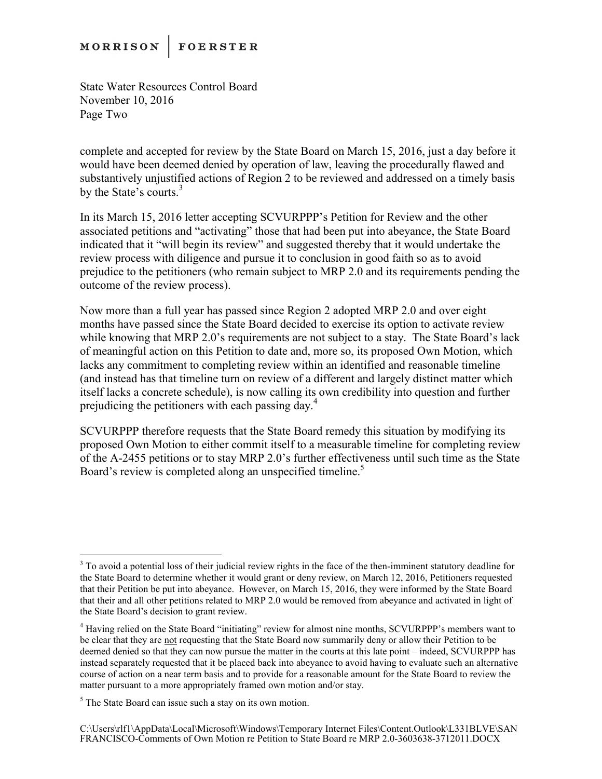## **MORRISON FOERSTER**

State Water Resources Control Board November 10, 2016 Page Two

complete and accepted for review by the State Board on March 15, 2016, just a day before it would have been deemed denied by operation of law, leaving the procedurally flawed and substantively unjustified actions of Region 2 to be reviewed and addressed on a timely basis by the State's courts.<sup>3</sup>

In its March 15, 2016 letter accepting SCVURPPP's Petition for Review and the other associated petitions and "activating" those that had been put into abeyance, the State Board indicated that it "will begin its review" and suggested thereby that it would undertake the review process with diligence and pursue it to conclusion in good faith so as to avoid prejudice to the petitioners (who remain subject to MRP 2.0 and its requirements pending the outcome of the review process).

Now more than a full year has passed since Region 2 adopted MRP 2.0 and over eight months have passed since the State Board decided to exercise its option to activate review while knowing that MRP 2.0's requirements are not subject to a stay. The State Board's lack of meaningful action on this Petition to date and, more so, its proposed Own Motion, which lacks any commitment to completing review within an identified and reasonable timeline (and instead has that timeline turn on review of a different and largely distinct matter which itself lacks a concrete schedule), is now calling its own credibility into question and further prejudicing the petitioners with each passing day. 4

SCVURPPP therefore requests that the State Board remedy this situation by modifying its proposed Own Motion to either commit itself to a measurable timeline for completing review of the A-2455 petitions or to stay MRP 2.0's further effectiveness until such time as the State Board's review is completed along an unspecified timeline.<sup>5</sup>

1

 $3$  To avoid a potential loss of their judicial review rights in the face of the then-imminent statutory deadline for the State Board to determine whether it would grant or deny review, on March 12, 2016, Petitioners requested that their Petition be put into abeyance. However, on March 15, 2016, they were informed by the State Board that their and all other petitions related to MRP 2.0 would be removed from abeyance and activated in light of the State Board's decision to grant review.

<sup>&</sup>lt;sup>4</sup> Having relied on the State Board "initiating" review for almost nine months, SCVURPPP's members want to be clear that they are not requesting that the State Board now summarily deny or allow their Petition to be deemed denied so that they can now pursue the matter in the courts at this late point – indeed, SCVURPPP has instead separately requested that it be placed back into abeyance to avoid having to evaluate such an alternative course of action on a near term basis and to provide for a reasonable amount for the State Board to review the matter pursuant to a more appropriately framed own motion and/or stay.

 $<sup>5</sup>$  The State Board can issue such a stay on its own motion.</sup>